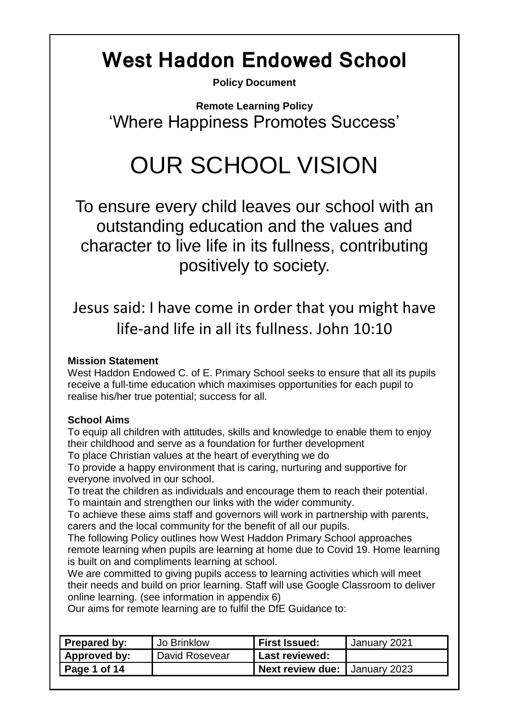# **West Haddon Endowed School**

**Policy Document**

**Remote Learning Policy** 'Where Happiness Promotes Success'

# OUR SCHOOL VISION

To ensure every child leaves our school with an outstanding education and the values and character to live life in its fullness, contributing positively to society.

Jesus said: I have come in order that you might have life-and life in all its fullness. John 10:10

#### **Mission Statement**

West Haddon Endowed C. of E. Primary School seeks to ensure that all its pupils receive a full-time education which maximises opportunities for each pupil to realise his/her true potential; success for all.

#### **School Aims**

To equip all children with attitudes, skills and knowledge to enable them to enjoy their childhood and serve as a foundation for further development

To place Christian values at the heart of everything we do

To provide a happy environment that is caring, nurturing and supportive for everyone involved in our school.

To treat the children as individuals and encourage them to reach their potential. To maintain and strengthen our links with the wider community.

To achieve these aims staff and governors will work in partnership with parents, carers and the local community for the benefit of all our pupils.

The following Policy outlines how West Haddon Primary School approaches remote learning when pupils are learning at home due to Covid 19. Home learning is built on and compliments learning at school.

We are committed to giving pupils access to learning activities which will meet their needs and build on prior learning. Staff will use Google Classroom to deliver online learning. (see information in appendix 6)

Our aims for remote learning are to fulfil the DfE Guidance to:

| <b>Prepared by:</b> | Jo Brinklow    | <b>First Issued:</b>          | January 2021 |
|---------------------|----------------|-------------------------------|--------------|
| Approved by:        | David Rosevear | <b>Last reviewed:</b>         |              |
| Page 1 of 14        |                | Next review due: January 2023 |              |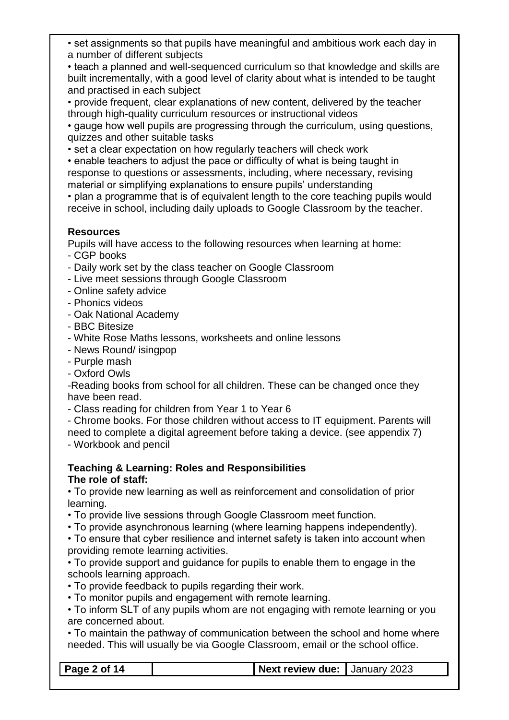• set assignments so that pupils have meaningful and ambitious work each day in a number of different subjects

• teach a planned and well-sequenced curriculum so that knowledge and skills are built incrementally, with a good level of clarity about what is intended to be taught and practised in each subject

• provide frequent, clear explanations of new content, delivered by the teacher through high-quality curriculum resources or instructional videos

• gauge how well pupils are progressing through the curriculum, using questions, quizzes and other suitable tasks

• set a clear expectation on how regularly teachers will check work

• enable teachers to adjust the pace or difficulty of what is being taught in response to questions or assessments, including, where necessary, revising material or simplifying explanations to ensure pupils' understanding

• plan a programme that is of equivalent length to the core teaching pupils would receive in school, including daily uploads to Google Classroom by the teacher.

#### **Resources**

Pupils will have access to the following resources when learning at home:

- CGP books
- Daily work set by the class teacher on Google Classroom
- Live meet sessions through Google Classroom
- Online safety advice
- Phonics videos
- Oak National Academy
- BBC Bitesize
- White Rose Maths lessons, worksheets and online lessons
- News Round/ isingpop
- Purple mash
- Oxford Owls

-Reading books from school for all children. These can be changed once they have been read.

- Class reading for children from Year 1 to Year 6

- Chrome books. For those children without access to IT equipment. Parents will need to complete a digital agreement before taking a device. (see appendix 7)

- Workbook and pencil

#### **Teaching & Learning: Roles and Responsibilities The role of staff:**

• To provide new learning as well as reinforcement and consolidation of prior learning.

• To provide live sessions through Google Classroom meet function.

• To provide asynchronous learning (where learning happens independently).

• To ensure that cyber resilience and internet safety is taken into account when providing remote learning activities.

• To provide support and guidance for pupils to enable them to engage in the schools learning approach.

• To provide feedback to pupils regarding their work.

• To monitor pupils and engagement with remote learning.

• To inform SLT of any pupils whom are not engaging with remote learning or you are concerned about.

• To maintain the pathway of communication between the school and home where needed. This will usually be via Google Classroom, email or the school office.

**Page 2 of 14 Next review due:** January 2023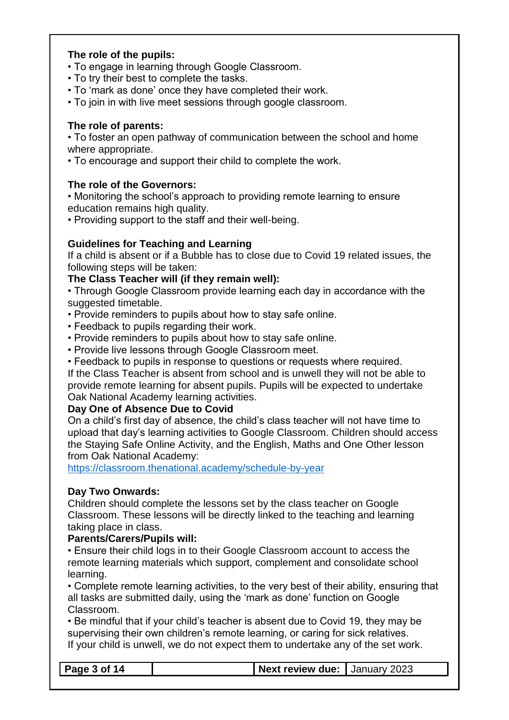#### **The role of the pupils:**

- To engage in learning through Google Classroom.
- To try their best to complete the tasks.
- To 'mark as done' once they have completed their work.
- To join in with live meet sessions through google classroom.

#### **The role of parents:**

• To foster an open pathway of communication between the school and home where appropriate.

• To encourage and support their child to complete the work.

#### **The role of the Governors:**

• Monitoring the school's approach to providing remote learning to ensure education remains high quality.

• Providing support to the staff and their well-being.

#### **Guidelines for Teaching and Learning**

If a child is absent or if a Bubble has to close due to Covid 19 related issues, the following steps will be taken:

#### **The Class Teacher will (if they remain well):**

• Through Google Classroom provide learning each day in accordance with the suggested timetable.

- Provide reminders to pupils about how to stay safe online.
- Feedback to pupils regarding their work.
- Provide reminders to pupils about how to stay safe online.
- Provide live lessons through Google Classroom meet.

• Feedback to pupils in response to questions or requests where required. If the Class Teacher is absent from school and is unwell they will not be able to provide remote learning for absent pupils. Pupils will be expected to undertake Oak National Academy learning activities.

#### **Day One of Absence Due to Covid**

On a child's first day of absence, the child's class teacher will not have time to upload that day's learning activities to Google Classroom. Children should access the Staying Safe Online Activity, and the English, Maths and One Other lesson from Oak National Academy:

<https://classroom.thenational.academy/schedule-by-year>

#### **Day Two Onwards:**

Children should complete the lessons set by the class teacher on Google Classroom. These lessons will be directly linked to the teaching and learning taking place in class.

**Parents/Carers/Pupils will:**

• Ensure their child logs in to their Google Classroom account to access the remote learning materials which support, complement and consolidate school learning.

• Complete remote learning activities, to the very best of their ability, ensuring that all tasks are submitted daily, using the 'mark as done' function on Google Classroom.

• Be mindful that if your child's teacher is absent due to Covid 19, they may be supervising their own children's remote learning, or caring for sick relatives. If your child is unwell, we do not expect them to undertake any of the set work.

|  | $\vert$ Page 3 of 14 |  | Next review due: Uanuary 2023 |  |  |
|--|----------------------|--|-------------------------------|--|--|
|--|----------------------|--|-------------------------------|--|--|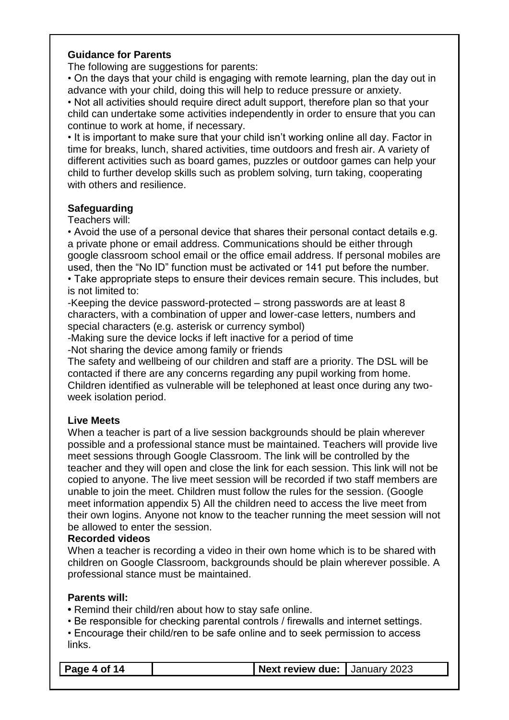#### **Guidance for Parents**

The following are suggestions for parents:

• On the days that your child is engaging with remote learning, plan the day out in advance with your child, doing this will help to reduce pressure or anxiety.

• Not all activities should require direct adult support, therefore plan so that your child can undertake some activities independently in order to ensure that you can continue to work at home, if necessary.

• It is important to make sure that your child isn't working online all day. Factor in time for breaks, lunch, shared activities, time outdoors and fresh air. A variety of different activities such as board games, puzzles or outdoor games can help your child to further develop skills such as problem solving, turn taking, cooperating with others and resilience.

#### **Safeguarding**

Teachers will:

• Avoid the use of a personal device that shares their personal contact details e.g. a private phone or email address. Communications should be either through google classroom school email or the office email address. If personal mobiles are used, then the "No ID" function must be activated or 141 put before the number.

• Take appropriate steps to ensure their devices remain secure. This includes, but is not limited to:

-Keeping the device password-protected – strong passwords are at least 8 characters, with a combination of upper and lower-case letters, numbers and special characters (e.g. asterisk or currency symbol)

-Making sure the device locks if left inactive for a period of time -Not sharing the device among family or friends

The safety and wellbeing of our children and staff are a priority. The DSL will be contacted if there are any concerns regarding any pupil working from home. Children identified as vulnerable will be telephoned at least once during any twoweek isolation period.

#### **Live Meets**

When a teacher is part of a live session backgrounds should be plain wherever possible and a professional stance must be maintained. Teachers will provide live meet sessions through Google Classroom. The link will be controlled by the teacher and they will open and close the link for each session. This link will not be copied to anyone. The live meet session will be recorded if two staff members are unable to join the meet. Children must follow the rules for the session. (Google meet information appendix 5) All the children need to access the live meet from their own logins. Anyone not know to the teacher running the meet session will not be allowed to enter the session.

#### **Recorded videos**

When a teacher is recording a video in their own home which is to be shared with children on Google Classroom, backgrounds should be plain wherever possible. A professional stance must be maintained.

#### **Parents will:**

**•** Remind their child/ren about how to stay safe online.

• Be responsible for checking parental controls / firewalls and internet settings.

• Encourage their child/ren to be safe online and to seek permission to access links.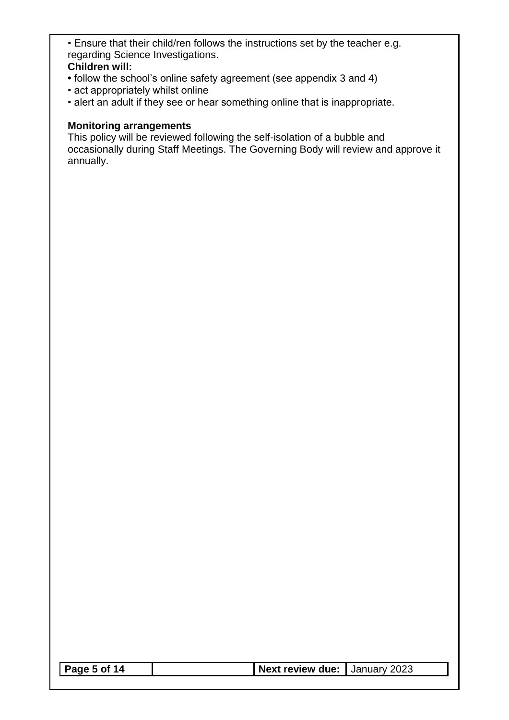• Ensure that their child/ren follows the instructions set by the teacher e.g. regarding Science Investigations.

#### **Children will:**

- follow the school's online safety agreement (see appendix 3 and 4)
- act appropriately whilst online
- alert an adult if they see or hear something online that is inappropriate.

#### **Monitoring arrangements**

This policy will be reviewed following the self-isolation of a bubble and occasionally during Staff Meetings. The Governing Body will review and approve it annually.

|--|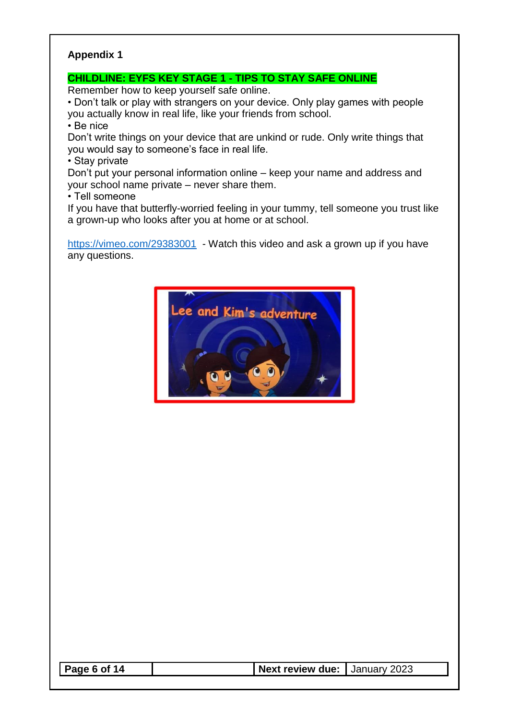#### **CHILDLINE: EYFS KEY STAGE 1 - TIPS TO STAY SAFE ONLINE**

Remember how to keep yourself safe online.

• Don't talk or play with strangers on your device. Only play games with people you actually know in real life, like your friends from school.

• Be nice

Don't write things on your device that are unkind or rude. Only write things that you would say to someone's face in real life.

• Stay private

Don't put your personal information online – keep your name and address and your school name private – never share them.

• Tell someone

If you have that butterfly-worried feeling in your tummy, tell someone you trust like a grown-up who looks after you at home or at school.

<https://vimeo.com/29383001>- Watch this video and ask a grown up if you have any questions.



|--|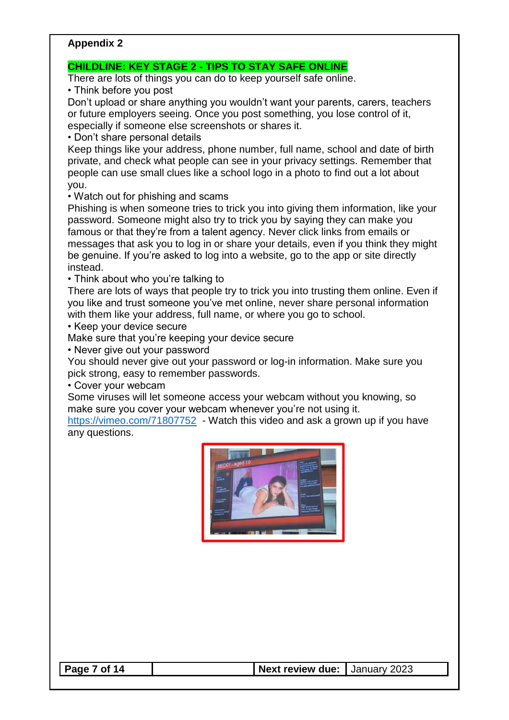#### **CHILDLINE: KEY STAGE 2 - TIPS TO STAY SAFE ONLINE**

There are lots of things you can do to keep yourself safe online.

• Think before you post

Don't upload or share anything you wouldn't want your parents, carers, teachers or future employers seeing. Once you post something, you lose control of it, especially if someone else screenshots or shares it.

• Don't share personal details

Keep things like your address, phone number, full name, school and date of birth private, and check what people can see in your privacy settings. Remember that people can use small clues like a school logo in a photo to find out a lot about you.

#### • Watch out for phishing and scams

Phishing is when someone tries to trick you into giving them information, like your password. Someone might also try to trick you by saying they can make you famous or that they're from a talent agency. Never click links from emails or messages that ask you to log in or share your details, even if you think they might be genuine. If you're asked to log into a website, go to the app or site directly instead.

• Think about who you're talking to

There are lots of ways that people try to trick you into trusting them online. Even if you like and trust someone you've met online, never share personal information with them like your address, full name, or where you go to school.

• Keep your device secure

Make sure that you're keeping your device secure

• Never give out your password

You should never give out your password or log-in information. Make sure you pick strong, easy to remember passwords.

• Cover your webcam

Some viruses will let someone access your webcam without you knowing, so make sure you cover your webcam whenever you're not using it.

<https://vimeo.com/71807752> - Watch this video and ask a grown up if you have any questions.

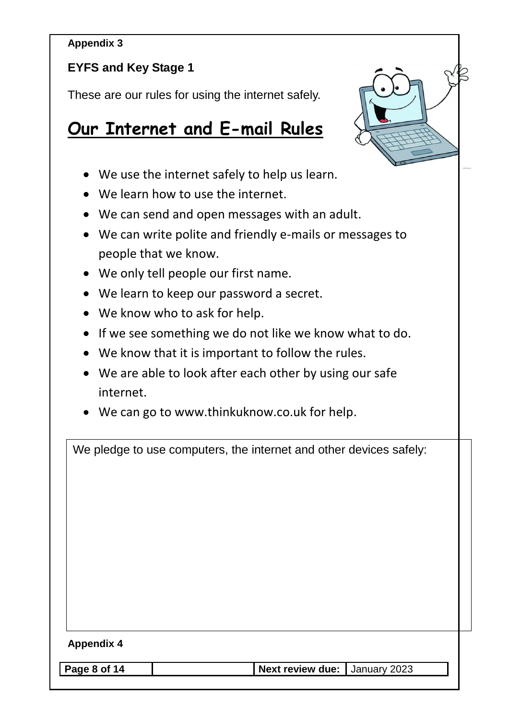## **EYFS and Key Stage 1**

These are our rules for using the internet safely.

# **Our Internet and E-mail Rules**



- We use the internet safely to help us learn.
- We learn how to use the internet.
- We can send and open messages with an adult.
- We can write polite and friendly e-mails or messages to people that we know.
- We only tell people our first name.
- We learn to keep our password a secret.
- We know who to ask for help.
- If we see something we do not like we know what to do.
- We know that it is important to follow the rules.
- We are able to look after each other by using our safe internet.
- We can go to www.thinkuknow.co.uk for help.

|                   | We pledge to use computers, the internet and other devices safely: |  |
|-------------------|--------------------------------------------------------------------|--|
|                   |                                                                    |  |
|                   |                                                                    |  |
|                   |                                                                    |  |
|                   |                                                                    |  |
|                   |                                                                    |  |
|                   |                                                                    |  |
|                   |                                                                    |  |
|                   |                                                                    |  |
| <b>Appendix 4</b> |                                                                    |  |
| Page 8 of 14      | Next review due:  <br>January 2023                                 |  |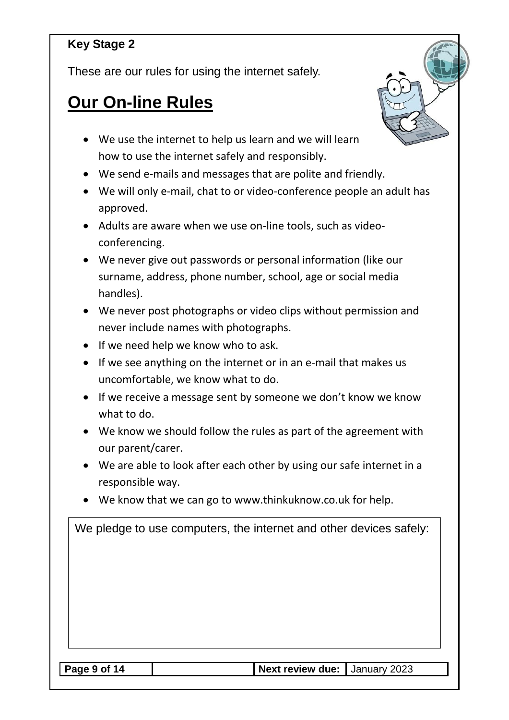## **Key Stage 2**

These are our rules for using the internet safely.

# **Our On-line Rules**



- We use the internet to help us learn and we will learn how to use the internet safely and responsibly.
- We send e-mails and messages that are polite and friendly.
- We will only e-mail, chat to or video-conference people an adult has approved.
- Adults are aware when we use on-line tools, such as videoconferencing.
- We never give out passwords or personal information (like our surname, address, phone number, school, age or social media handles).
- We never post photographs or video clips without permission and never include names with photographs.
- If we need help we know who to ask.
- If we see anything on the internet or in an e-mail that makes us uncomfortable, we know what to do.
- If we receive a message sent by someone we don't know we know what to do.
- We know we should follow the rules as part of the agreement with our parent/carer.
- We are able to look after each other by using our safe internet in a responsible way.
- We know that we can go to www.thinkuknow.co.uk for help.

| We pledge to use computers, the internet and other devices safely: |              |
|--------------------------------------------------------------------|--------------|
|                                                                    |              |
|                                                                    |              |
|                                                                    |              |
|                                                                    |              |
| Next review due:<br>Page 9 of 14                                   | January 2023 |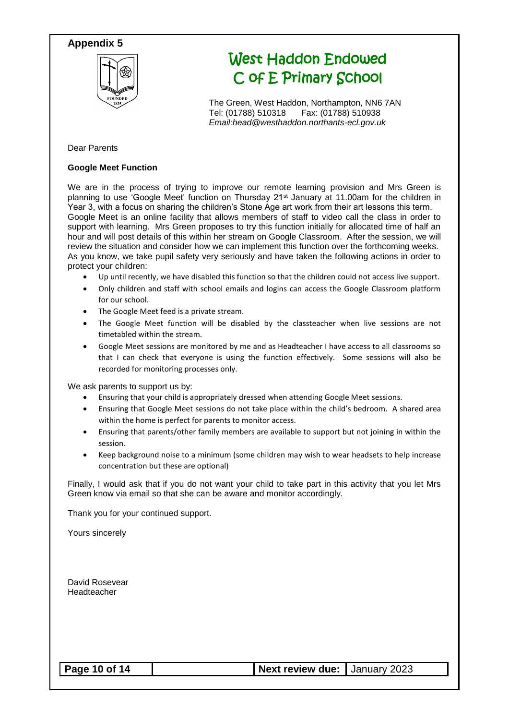

# West Haddon Endowed C of E Primary School

The Green, West Haddon, Northampton, NN6 7AN Tel: (01788) 510318 Fax: (01788) 510938 *Email:head@westhaddon.northants-ecl.gov.uk*

#### Dear Parents

#### **Google Meet Function**

We are in the process of trying to improve our remote learning provision and Mrs Green is planning to use 'Google Meet' function on Thursday 21<sup>st</sup> January at 11.00am for the children in Year 3, with a focus on sharing the children's Stone Age art work from their art lessons this term. Google Meet is an online facility that allows members of staff to video call the class in order to support with learning. Mrs Green proposes to try this function initially for allocated time of half an hour and will post details of this within her stream on Google Classroom. After the session, we will review the situation and consider how we can implement this function over the forthcoming weeks. As you know, we take pupil safety very seriously and have taken the following actions in order to protect your children:

- Up until recently, we have disabled this function so that the children could not access live support.
- Only children and staff with school emails and logins can access the Google Classroom platform for our school.
- The Google Meet feed is a private stream.
- The Google Meet function will be disabled by the classteacher when live sessions are not timetabled within the stream.
- Google Meet sessions are monitored by me and as Headteacher I have access to all classrooms so that I can check that everyone is using the function effectively. Some sessions will also be recorded for monitoring processes only.

We ask parents to support us by:

- Ensuring that your child is appropriately dressed when attending Google Meet sessions.
- Ensuring that Google Meet sessions do not take place within the child's bedroom. A shared area within the home is perfect for parents to monitor access.
- Ensuring that parents/other family members are available to support but not joining in within the session.
- Keep background noise to a minimum (some children may wish to wear headsets to help increase concentration but these are optional)

Finally, I would ask that if you do not want your child to take part in this activity that you let Mrs Green know via email so that she can be aware and monitor accordingly.

Thank you for your continued support.

Yours sincerely

David Rosevear Headteacher

**Page 10 of 14 decision of 14 Next review due:** January 2023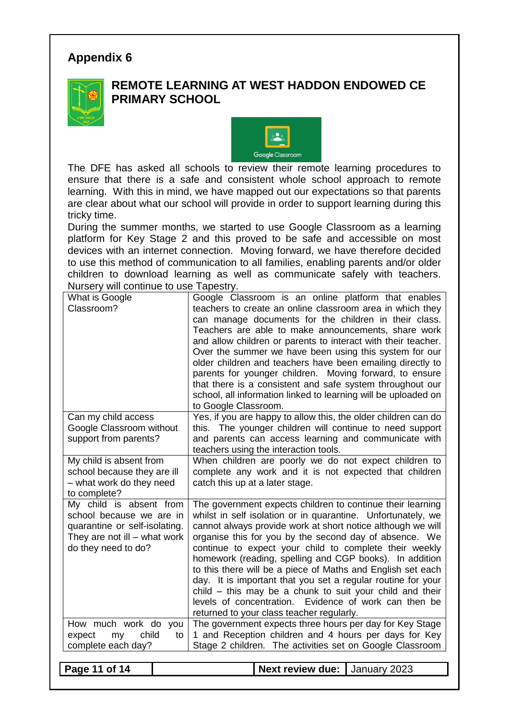

### **REMOTE LEARNING AT WEST HADDON ENDOWED CE PRIMARY SCHOOL**



The DFE has asked all schools to review their remote learning procedures to ensure that there is a safe and consistent whole school approach to remote learning. With this in mind, we have mapped out our expectations so that parents are clear about what our school will provide in order to support learning during this tricky time.

During the summer months, we started to use Google Classroom as a learning platform for Key Stage 2 and this proved to be safe and accessible on most devices with an internet connection. Moving forward, we have therefore decided to use this method of communication to all families, enabling parents and/or older children to download learning as well as communicate safely with teachers. Nursery will continue to use Tapestry.

| What is Google                                                                 | Google Classroom is an online platform that enables                                                               |  |
|--------------------------------------------------------------------------------|-------------------------------------------------------------------------------------------------------------------|--|
| Classroom?                                                                     | teachers to create an online classroom area in which they                                                         |  |
|                                                                                | can manage documents for the children in their class.                                                             |  |
|                                                                                | Teachers are able to make announcements, share work                                                               |  |
|                                                                                | and allow children or parents to interact with their teacher.                                                     |  |
|                                                                                | Over the summer we have been using this system for our                                                            |  |
|                                                                                | older children and teachers have been emailing directly to                                                        |  |
|                                                                                | parents for younger children. Moving forward, to ensure                                                           |  |
|                                                                                | that there is a consistent and safe system throughout our                                                         |  |
|                                                                                | school, all information linked to learning will be uploaded on                                                    |  |
|                                                                                | to Google Classroom.                                                                                              |  |
| Can my child access                                                            | Yes, if you are happy to allow this, the older children can do                                                    |  |
| Google Classroom without                                                       | this. The younger children will continue to need support                                                          |  |
| support from parents?                                                          | and parents can access learning and communicate with                                                              |  |
|                                                                                | teachers using the interaction tools.                                                                             |  |
| My child is absent from                                                        | When children are poorly we do not expect children to                                                             |  |
| school because they are ill                                                    | complete any work and it is not expected that children                                                            |  |
| - what work do they need                                                       | catch this up at a later stage.                                                                                   |  |
| to complete?                                                                   |                                                                                                                   |  |
| My child is absent from                                                        | The government expects children to continue their learning                                                        |  |
| school because we are in                                                       | whilst in self isolation or in quarantine. Unfortunately, we                                                      |  |
| quarantine or self-isolating.                                                  | cannot always provide work at short notice although we will                                                       |  |
| They are not ill $-$ what work                                                 | organise this for you by the second day of absence. We                                                            |  |
| do they need to do?                                                            | continue to expect your child to complete their weekly                                                            |  |
|                                                                                | homework (reading, spelling and CGP books). In addition                                                           |  |
|                                                                                | to this there will be a piece of Maths and English set each                                                       |  |
|                                                                                | day. It is important that you set a regular routine for your                                                      |  |
|                                                                                | child - this may be a chunk to suit your child and their                                                          |  |
|                                                                                | levels of concentration. Evidence of work can then be                                                             |  |
|                                                                                | returned to your class teacher regularly.                                                                         |  |
| How much work do you<br>child<br>expect<br>my<br>to                            | The government expects three hours per day for Key Stage<br>1 and Reception children and 4 hours per days for Key |  |
|                                                                                |                                                                                                                   |  |
| complete each day?<br>Stage 2 children. The activities set on Google Classroom |                                                                                                                   |  |
| Page 11 of 14                                                                  | <b>Next review due:</b><br>January 2023                                                                           |  |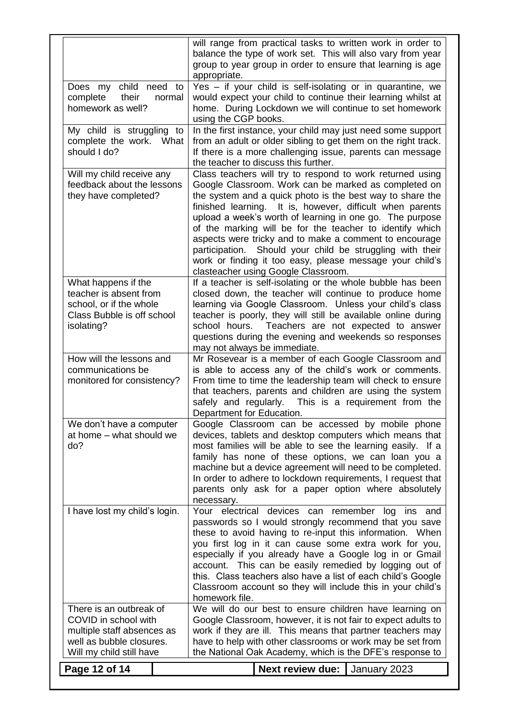|                                                                                                                                       | will range from practical tasks to written work in order to<br>balance the type of work set. This will also vary from year<br>group to year group in order to ensure that learning is age<br>appropriate.                                                                                                                                                                                                                                                                                                                                                                                     |
|---------------------------------------------------------------------------------------------------------------------------------------|-----------------------------------------------------------------------------------------------------------------------------------------------------------------------------------------------------------------------------------------------------------------------------------------------------------------------------------------------------------------------------------------------------------------------------------------------------------------------------------------------------------------------------------------------------------------------------------------------|
| Does my child need to<br>complete<br>their<br>normal<br>homework as well?                                                             | Yes - if your child is self-isolating or in quarantine, we<br>would expect your child to continue their learning whilst at<br>home. During Lockdown we will continue to set homework<br>using the CGP books.                                                                                                                                                                                                                                                                                                                                                                                  |
| My child is struggling to<br>complete the work.<br>What<br>should I do?                                                               | In the first instance, your child may just need some support<br>from an adult or older sibling to get them on the right track.<br>If there is a more challenging issue, parents can message<br>the teacher to discuss this further.                                                                                                                                                                                                                                                                                                                                                           |
| Will my child receive any<br>feedback about the lessons<br>they have completed?                                                       | Class teachers will try to respond to work returned using<br>Google Classroom. Work can be marked as completed on<br>the system and a quick photo is the best way to share the<br>finished learning. It is, however, difficult when parents<br>upload a week's worth of learning in one go. The purpose<br>of the marking will be for the teacher to identify which<br>aspects were tricky and to make a comment to encourage<br>participation. Should your child be struggling with their<br>work or finding it too easy, please message your child's<br>clasteacher using Google Classroom. |
| What happens if the<br>teacher is absent from<br>school, or if the whole<br>Class Bubble is off school<br>isolating?                  | If a teacher is self-isolating or the whole bubble has been<br>closed down, the teacher will continue to produce home<br>learning via Google Classroom. Unless your child's class<br>teacher is poorly, they will still be available online during<br>school hours. Teachers are not expected to answer<br>questions during the evening and weekends so responses<br>may not always be immediate.                                                                                                                                                                                             |
| How will the lessons and<br>communications be<br>monitored for consistency?                                                           | Mr Rosevear is a member of each Google Classroom and<br>is able to access any of the child's work or comments.<br>From time to time the leadership team will check to ensure<br>that teachers, parents and children are using the system<br>This is a requirement from the<br>safely and regularly.<br>Department for Education.                                                                                                                                                                                                                                                              |
| We don't have a computer<br>at home - what should we<br>do?                                                                           | Google Classroom can be accessed by mobile phone<br>devices, tablets and desktop computers which means that<br>most families will be able to see the learning easily. If a<br>family has none of these options, we can loan you a<br>machine but a device agreement will need to be completed.<br>In order to adhere to lockdown requirements, I request that<br>parents only ask for a paper option where absolutely<br>necessary.                                                                                                                                                           |
| I have lost my child's login.                                                                                                         | Your electrical devices can remember log ins and<br>passwords so I would strongly recommend that you save<br>these to avoid having to re-input this information. When<br>you first log in it can cause some extra work for you,<br>especially if you already have a Google log in or Gmail<br>account. This can be easily remedied by logging out of<br>this. Class teachers also have a list of each child's Google<br>Classroom account so they will include this in your child's<br>homework file.                                                                                         |
| There is an outbreak of<br>COVID in school with<br>multiple staff absences as<br>well as bubble closures.<br>Will my child still have | We will do our best to ensure children have learning on<br>Google Classroom, however, it is not fair to expect adults to<br>work if they are ill. This means that partner teachers may<br>have to help with other classrooms or work may be set from<br>the National Oak Academy, which is the DFE's response to                                                                                                                                                                                                                                                                              |
| Page 12 of 14                                                                                                                         | <b>Next review due:</b><br>January 2023                                                                                                                                                                                                                                                                                                                                                                                                                                                                                                                                                       |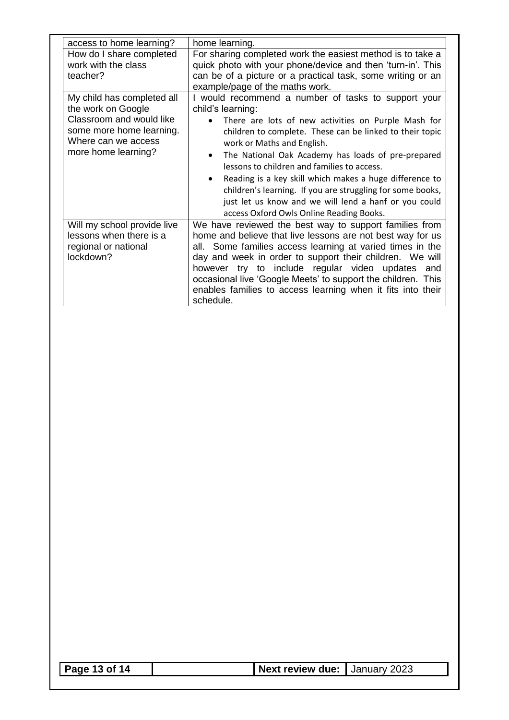| access to home learning?                                                                    | home learning.                                                                                                                                                                                                                                                                                                                                                                                                                                |
|---------------------------------------------------------------------------------------------|-----------------------------------------------------------------------------------------------------------------------------------------------------------------------------------------------------------------------------------------------------------------------------------------------------------------------------------------------------------------------------------------------------------------------------------------------|
| How do I share completed<br>work with the class<br>teacher?                                 | For sharing completed work the easiest method is to take a<br>quick photo with your phone/device and then 'turn-in'. This<br>can be of a picture or a practical task, some writing or an                                                                                                                                                                                                                                                      |
|                                                                                             | example/page of the maths work.                                                                                                                                                                                                                                                                                                                                                                                                               |
| My child has completed all<br>the work on Google<br>Classroom and would like                | I would recommend a number of tasks to support your<br>child's learning:<br>There are lots of new activities on Purple Mash for                                                                                                                                                                                                                                                                                                               |
| some more home learning.<br>Where can we access<br>more home learning?                      | children to complete. These can be linked to their topic<br>work or Maths and English.                                                                                                                                                                                                                                                                                                                                                        |
|                                                                                             | The National Oak Academy has loads of pre-prepared<br>$\bullet$<br>lessons to children and families to access.<br>Reading is a key skill which makes a huge difference to                                                                                                                                                                                                                                                                     |
|                                                                                             | children's learning. If you are struggling for some books,<br>just let us know and we will lend a hanf or you could<br>access Oxford Owls Online Reading Books.                                                                                                                                                                                                                                                                               |
| Will my school provide live<br>lessons when there is a<br>regional or national<br>lockdown? | We have reviewed the best way to support families from<br>home and believe that live lessons are not best way for us<br>all. Some families access learning at varied times in the<br>day and week in order to support their children. We will<br>however try to include regular video updates and<br>occasional live 'Google Meets' to support the children. This<br>enables families to access learning when it fits into their<br>schedule. |

|--|